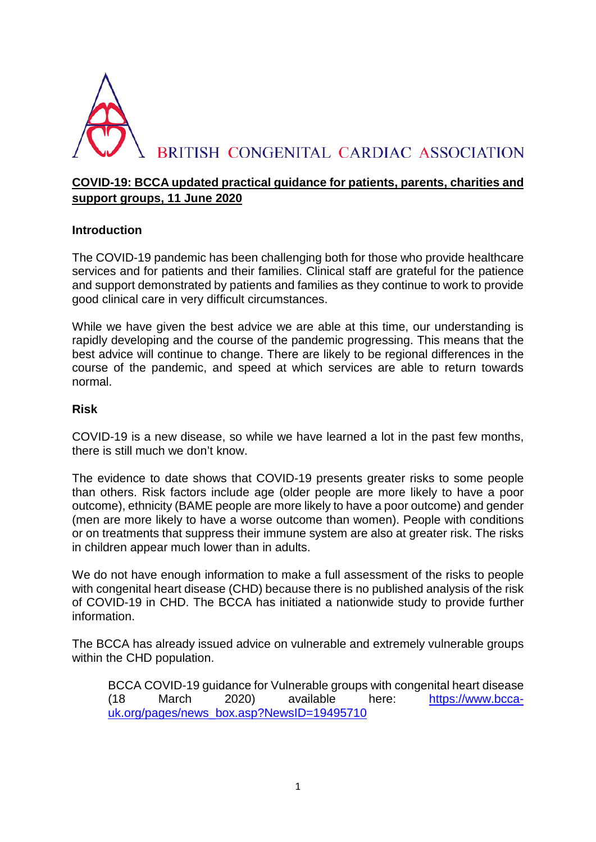

# **COVID-19: BCCA updated practical guidance for patients, parents, charities and support groups, 11 June 2020**

# **Introduction**

The COVID-19 pandemic has been challenging both for those who provide healthcare services and for patients and their families. Clinical staff are grateful for the patience and support demonstrated by patients and families as they continue to work to provide good clinical care in very difficult circumstances.

While we have given the best advice we are able at this time, our understanding is rapidly developing and the course of the pandemic progressing. This means that the best advice will continue to change. There are likely to be regional differences in the course of the pandemic, and speed at which services are able to return towards normal.

# **Risk**

COVID-19 is a new disease, so while we have learned a lot in the past few months, there is still much we don't know.

The evidence to date shows that COVID-19 presents greater risks to some people than others. Risk factors include age (older people are more likely to have a poor outcome), ethnicity (BAME people are more likely to have a poor outcome) and gender (men are more likely to have a worse outcome than women). People with conditions or on treatments that suppress their immune system are also at greater risk. The risks in children appear much lower than in adults.

We do not have enough information to make a full assessment of the risks to people with congenital heart disease (CHD) because there is no published analysis of the risk of COVID-19 in CHD. The BCCA has initiated a nationwide study to provide further information.

The BCCA has already issued advice on vulnerable and extremely vulnerable groups within the CHD population.

BCCA COVID-19 guidance for Vulnerable groups with congenital heart disease (18 March 2020) available here: [https://www.bcca](https://www.bcca-uk.org/pages/news_box.asp?NewsID=19495710)[uk.org/pages/news\\_box.asp?NewsID=19495710](https://www.bcca-uk.org/pages/news_box.asp?NewsID=19495710)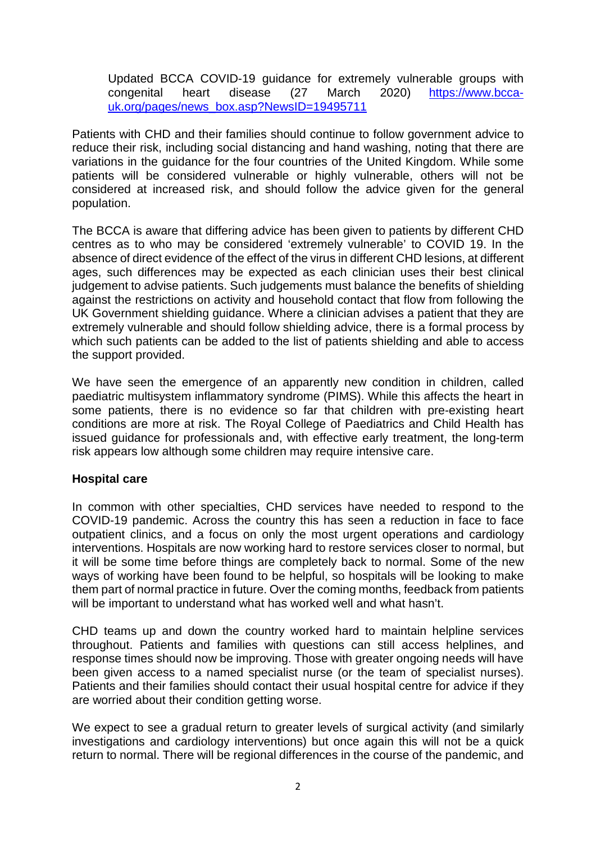Updated BCCA COVID-19 guidance for extremely vulnerable groups with congenital heart disease (27 March 2020) [https://www.bcca](https://www.bcca-uk.org/pages/news_box.asp?NewsID=19495711)[uk.org/pages/news\\_box.asp?NewsID=19495711](https://www.bcca-uk.org/pages/news_box.asp?NewsID=19495711)

Patients with CHD and their families should continue to follow government advice to reduce their risk, including social distancing and hand washing, noting that there are variations in the guidance for the four countries of the United Kingdom. While some patients will be considered vulnerable or highly vulnerable, others will not be considered at increased risk, and should follow the advice given for the general population.

The BCCA is aware that differing advice has been given to patients by different CHD centres as to who may be considered 'extremely vulnerable' to COVID 19. In the absence of direct evidence of the effect of the virus in different CHD lesions, at different ages, such differences may be expected as each clinician uses their best clinical judgement to advise patients. Such judgements must balance the benefits of shielding against the restrictions on activity and household contact that flow from following the UK Government shielding guidance. Where a clinician advises a patient that they are extremely vulnerable and should follow shielding advice, there is a formal process by which such patients can be added to the list of patients shielding and able to access the support provided.

We have seen the emergence of an apparently new condition in children, called paediatric multisystem inflammatory syndrome (PIMS). While this affects the heart in some patients, there is no evidence so far that children with pre-existing heart conditions are more at risk. The Royal College of Paediatrics and Child Health has issued guidance for professionals and, with effective early treatment, the long-term risk appears low although some children may require intensive care.

#### **Hospital care**

In common with other specialties, CHD services have needed to respond to the COVID-19 pandemic. Across the country this has seen a reduction in face to face outpatient clinics, and a focus on only the most urgent operations and cardiology interventions. Hospitals are now working hard to restore services closer to normal, but it will be some time before things are completely back to normal. Some of the new ways of working have been found to be helpful, so hospitals will be looking to make them part of normal practice in future. Over the coming months, feedback from patients will be important to understand what has worked well and what hasn't.

CHD teams up and down the country worked hard to maintain helpline services throughout. Patients and families with questions can still access helplines, and response times should now be improving. Those with greater ongoing needs will have been given access to a named specialist nurse (or the team of specialist nurses). Patients and their families should contact their usual hospital centre for advice if they are worried about their condition getting worse.

We expect to see a gradual return to greater levels of surgical activity (and similarly investigations and cardiology interventions) but once again this will not be a quick return to normal. There will be regional differences in the course of the pandemic, and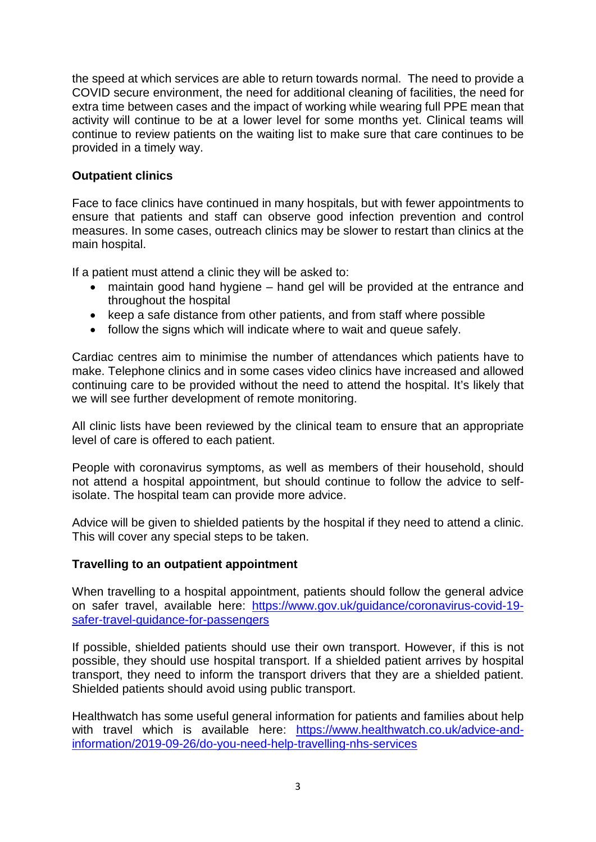the speed at which services are able to return towards normal. The need to provide a COVID secure environment, the need for additional cleaning of facilities, the need for extra time between cases and the impact of working while wearing full PPE mean that activity will continue to be at a lower level for some months yet. Clinical teams will continue to review patients on the waiting list to make sure that care continues to be provided in a timely way.

# **Outpatient clinics**

Face to face clinics have continued in many hospitals, but with fewer appointments to ensure that patients and staff can observe good infection prevention and control measures. In some cases, outreach clinics may be slower to restart than clinics at the main hospital.

If a patient must attend a clinic they will be asked to:

- maintain good hand hygiene hand gel will be provided at the entrance and throughout the hospital
- keep a safe distance from other patients, and from staff where possible
- follow the signs which will indicate where to wait and queue safely.

Cardiac centres aim to minimise the number of attendances which patients have to make. Telephone clinics and in some cases video clinics have increased and allowed continuing care to be provided without the need to attend the hospital. It's likely that we will see further development of remote monitoring.

All clinic lists have been reviewed by the clinical team to ensure that an appropriate level of care is offered to each patient.

People with coronavirus symptoms, as well as members of their household, should not attend a hospital appointment, but should continue to follow the advice to selfisolate. The hospital team can provide more advice.

Advice will be given to shielded patients by the hospital if they need to attend a clinic. This will cover any special steps to be taken.

#### **Travelling to an outpatient appointment**

When travelling to a hospital appointment, patients should follow the general advice on safer travel, available here: [https://www.gov.uk/guidance/coronavirus-covid-19](https://www.gov.uk/guidance/coronavirus-covid-19-safer-travel-guidance-for-passengers) [safer-travel-guidance-for-passengers](https://www.gov.uk/guidance/coronavirus-covid-19-safer-travel-guidance-for-passengers)

If possible, shielded patients should use their own transport. However, if this is not possible, they should use hospital transport. If a shielded patient arrives by hospital transport, they need to inform the transport drivers that they are a shielded patient. Shielded patients should avoid using public transport.

Healthwatch has some useful general information for patients and families about help with travel which is available here: [https://www.healthwatch.co.uk/advice-and](https://www.healthwatch.co.uk/advice-and-information/2019-09-26/do-you-need-help-travelling-nhs-services)[information/2019-09-26/do-you-need-help-travelling-nhs-services](https://www.healthwatch.co.uk/advice-and-information/2019-09-26/do-you-need-help-travelling-nhs-services)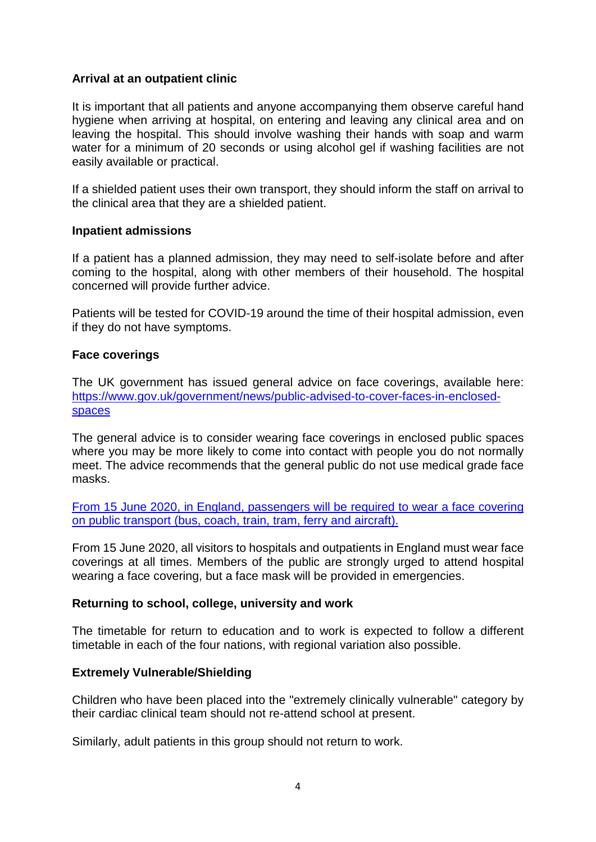# **Arrival at an outpatient clinic**

It is important that all patients and anyone accompanying them observe careful hand hygiene when arriving at hospital, on entering and leaving any clinical area and on leaving the hospital. This should involve washing their hands with soap and warm water for a minimum of 20 seconds or using alcohol gel if washing facilities are not easily available or practical.

If a shielded patient uses their own transport, they should inform the staff on arrival to the clinical area that they are a shielded patient.

#### **Inpatient admissions**

If a patient has a planned admission, they may need to self-isolate before and after coming to the hospital, along with other members of their household. The hospital concerned will provide further advice.

Patients will be tested for COVID-19 around the time of their hospital admission, even if they do not have symptoms.

#### **Face coverings**

The UK government has issued general advice on face coverings, available here: [https://www.gov.uk/government/news/public-advised-to-cover-faces-in-enclosed](https://www.gov.uk/government/news/public-advised-to-cover-faces-in-enclosed-spaces)[spaces](https://www.gov.uk/government/news/public-advised-to-cover-faces-in-enclosed-spaces)

The general advice is to consider wearing face coverings in enclosed public spaces where you may be more likely to come into contact with people you do not normally meet. The advice recommends that the general public do not use medical grade face masks.

From 15 June 2020, in England, [passengers will be required to wear a face covering](https://www.gov.uk/government/news/face-coverings-to-become-mandatory-on-public-transport)  [on public transport \(bus, coach, train, tram, ferry and aircraft\).](https://www.gov.uk/government/news/face-coverings-to-become-mandatory-on-public-transport)

[From 15 June 2020, all visitors to hospitals and outpatients in England must wear face](https://www.gov.uk/government/news/face-masks-and-coverings-to-be-worn-by-all-nhs-hospital-staff-and-visitors)  [coverings at all times.](https://www.gov.uk/government/news/face-masks-and-coverings-to-be-worn-by-all-nhs-hospital-staff-and-visitors) Members of the public are strongly urged to attend hospital wearing a face covering, but a face mask will be provided in emergencies.

#### **Returning to school, college, university and work**

The timetable for return to education and to work is expected to follow a different timetable in each of the four nations, with regional variation also possible.

#### **Extremely Vulnerable/Shielding**

Children who have been placed into the "extremely clinically vulnerable" category by their cardiac clinical team should not re-attend school at present.

Similarly, adult patients in this group should not return to work.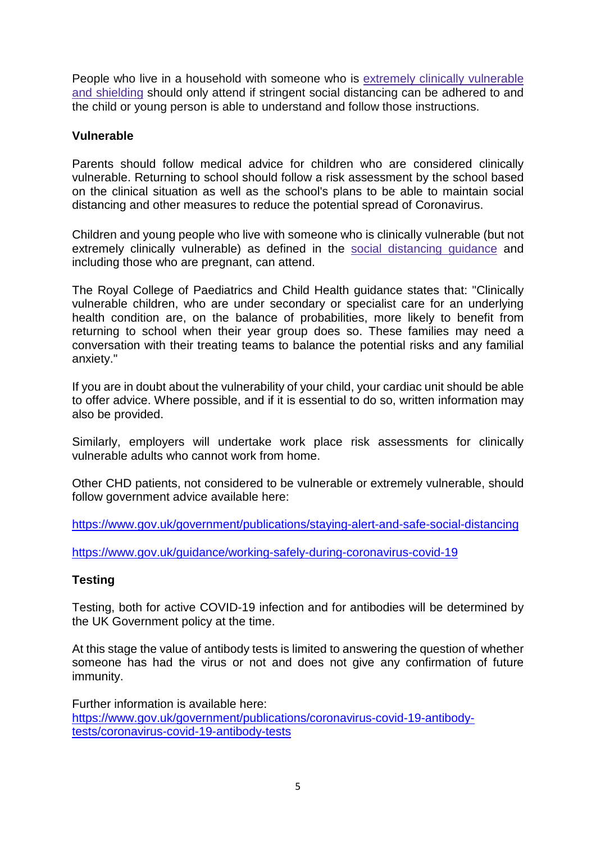People who live in a household with someone who is [extremely clinically vulnerable](https://www.gov.uk/government/publications/guidance-on-shielding-and-protecting-extremely-vulnerable-persons-from-covid-19)  [and shielding](https://www.gov.uk/government/publications/guidance-on-shielding-and-protecting-extremely-vulnerable-persons-from-covid-19) should only attend if stringent social distancing can be adhered to and the child or young person is able to understand and follow those instructions.

# **Vulnerable**

Parents should follow medical advice for children who are considered clinically vulnerable. Returning to school should follow a risk assessment by the school based on the clinical situation as well as the school's plans to be able to maintain social distancing and other measures to reduce the potential spread of Coronavirus.

Children and young people who live with someone who is clinically vulnerable (but not extremely clinically vulnerable) as defined in the [social distancing guidance](https://www.gov.uk/government/publications/staying-alert-and-safe-social-distancing) and including those who are pregnant, can attend.

The Royal College of Paediatrics and Child Health guidance states that: "Clinically vulnerable children, who are under secondary or specialist care for an underlying health condition are, on the balance of probabilities, more likely to benefit from returning to school when their year group does so. These families may need a conversation with their treating teams to balance the potential risks and any familial anxiety."

If you are in doubt about the vulnerability of your child, your cardiac unit should be able to offer advice. Where possible, and if it is essential to do so, written information may also be provided.

Similarly, employers will undertake work place risk assessments for clinically vulnerable adults who cannot work from home.

Other CHD patients, not considered to be vulnerable or extremely vulnerable, should follow government advice available here:

<https://www.gov.uk/government/publications/staying-alert-and-safe-social-distancing>

<https://www.gov.uk/guidance/working-safely-during-coronavirus-covid-19>

# **Testing**

Testing, both for active COVID-19 infection and for antibodies will be determined by the UK Government policy at the time.

At this stage the value of antibody tests is limited to answering the question of whether someone has had the virus or not and does not give any confirmation of future immunity.

Further information is available here: [https://www.gov.uk/government/publications/coronavirus-covid-19-antibody](https://www.gov.uk/government/publications/coronavirus-covid-19-antibody-tests/coronavirus-covid-19-antibody-tests)[tests/coronavirus-covid-19-antibody-tests](https://www.gov.uk/government/publications/coronavirus-covid-19-antibody-tests/coronavirus-covid-19-antibody-tests)